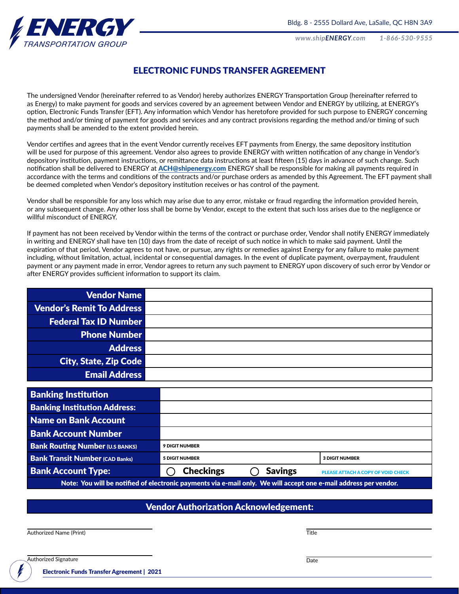*www.shipENERGY.com 1-866-530-9555*



#### ELECTRONIC FUNDS TRANSFER AGREEMENT

The undersigned Vendor (hereinafter referred to as Vendor) hereby authorizes ENERGY Transportation Group (hereinafter referred to as Energy) to make payment for goods and services covered by an agreement between Vendor and ENERGY by utilizing, at ENERGY's option, Electronic Funds Transfer (EFT). Any information which Vendor has heretofore provided for such purpose to ENERGY concerning the method and/or timing of payment for goods and services and any contract provisions regarding the method and/or timing of such payments shall be amended to the extent provided herein.

Vendor certifies and agrees that in the event Vendor currently receives EFT payments from Energy, the same depository institution will be used for purpose of this agreement. Vendor also agrees to provide ENERGY with written notification of any change in Vendor's depository institution, payment instructions, or remittance data instructions at least fifteen (15) days in advance of such change. Such notification shall be delivered to ENERGY at [ACH@shipenergy.com](mailto:ACH%40shipenergy.com?subject=Electronic%20Funds%20Transfer%20) ENERGY shall be responsible for making all payments required in accordance with the terms and conditions of the contracts and/or purchase orders as amended by this Agreement. The EFT payment shall be deemed completed when Vendor's depository institution receives or has control of the payment.

Vendor shall be responsible for any loss which may arise due to any error, mistake or fraud regarding the information provided herein, or any subsequent change. Any other loss shall be borne by Vendor, except to the extent that such loss arises due to the negligence or willful misconduct of ENERGY.

If payment has not been received by Vendor within the terms of the contract or purchase order, Vendor shall notify ENERGY immediately in writing and ENERGY shall have ten (10) days from the date of receipt of such notice in which to make said payment. Until the expiration of that period, Vendor agrees to not have, or pursue, any rights or remedies against Energy for any failure to make payment including, without limitation, actual, incidental or consequential damages. In the event of duplicate payment, overpayment, fraudulent payment or any payment made in error, Vendor agrees to return any such payment to ENERGY upon discovery of such error by Vendor or after ENERGY provides sufficient information to support its claim.

| <b>Vendor Name</b>                                                                                               |                       |                |                                    |
|------------------------------------------------------------------------------------------------------------------|-----------------------|----------------|------------------------------------|
| <b>Vendor's Remit To Address</b>                                                                                 |                       |                |                                    |
| <b>Federal Tax ID Number</b>                                                                                     |                       |                |                                    |
| <b>Phone Number</b>                                                                                              |                       |                |                                    |
| <b>Address</b>                                                                                                   |                       |                |                                    |
| <b>City, State, Zip Code</b>                                                                                     |                       |                |                                    |
| <b>Email Address</b>                                                                                             |                       |                |                                    |
|                                                                                                                  |                       |                |                                    |
| <b>Banking Institution</b>                                                                                       |                       |                |                                    |
| <b>Banking Institution Address:</b>                                                                              |                       |                |                                    |
| Name on Bank Account                                                                                             |                       |                |                                    |
| <b>Bank Account Number</b>                                                                                       |                       |                |                                    |
| <b>Bank Routing Number (U.S BANKS)</b>                                                                           | <b>9 DIGIT NUMBER</b> |                |                                    |
| <b>Bank Transit Number (CAD Banks)</b>                                                                           | <b>5 DIGIT NUMBER</b> |                | <b>3 DIGIT NUMBER</b>              |
| <b>Bank Account Type:</b>                                                                                        | <b>Checkings</b>      | <b>Savings</b> | PLEASE ATTACH A COPY OF VOID CHECK |
| Note: You will be notified of electronic payments via e-mail only. We will accept one e-mail address per vendor. |                       |                |                                    |

#### Vendor Authorization Acknowledgement:

**Authorized Name (Print)** Title

Authorized Signature